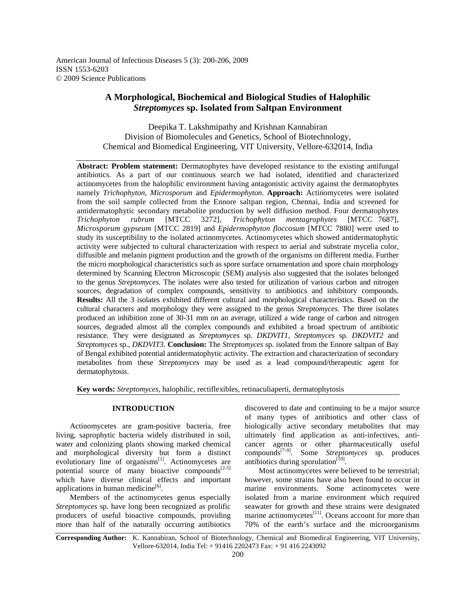American Journal of Infectious Diseases 5 (3): 200-206, 2009 ISSN 1553-6203 © 2009 Science Publications

# **A Morphological, Biochemical and Biological Studies of Halophilic**  *Streptomyces* **sp. Isolated from Saltpan Environment**

Deepika T. Lakshmipathy and Krishnan Kannabiran Division of Biomolecules and Genetics, School of Biotechnology, Chemical and Biomedical Engineering, VIT University, Vellore-632014, India

**Abstract: Problem statement:** Dermatophytes have developed resistance to the existing antifungal antibiotics. As a part of our continuous search we had isolated, identified and characterized actinomycetes from the halophilic environment having antagonistic activity against the dermatophytes namely *Trichophyton*, *Microsporum* and *Epidermophyton*. **Approach:** Actinomycetes were isolated from the soil sample collected from the Ennore saltpan region, Chennai, India and screened for antidermatophytic secondary metabolite production by well diffusion method. Four dermatophytes *Trichophyton rubrum* [MTCC 3272], *Trichophyton mentagrophytes* [MTCC 7687], *Microsporum gypseum* [MTCC 2819] and *Epidermophyton floccosum* [MTCC 7880] were used to study its susceptibility to the isolated actinomycetes. Actinomycetes which showed antidermatophytic activity were subjected to cultural characterization with respect to aerial and substrate mycelia color, diffusible and melanin pigment production and the growth of the organisms on different media. Further the micro morphological characteristics such as spore surface ornamentation and spore chain morphology determined by Scanning Electron Microscopic (SEM) analysis also suggested that the isolates belonged to the genus *Streptomyces*. The isolates were also tested for utilization of various carbon and nitrogen sources, degradation of complex compounds, sensitivity to antibiotics and inhibitory compounds. **Results:** All the 3 isolates exhibited different cultural and morphological characteristics. Based on the cultural characters and morphology they were assigned to the genus *Streptomyces*. The three isolates produced an inhibition zone of 30-31 mm on an average, utilized a wide range of carbon and nitrogen sources, degraded almost all the complex compounds and exhibited a broad spectrum of antibiotic resistance. They were designated as *Streptomyces* sp. *DKDVIT1*, *Streptomyces* sp. *DKDVIT2* and *Streptomyces* sp., *DKDVIT3*. **Conclusion:** The *Streptomyces* sp. isolated from the Ennore saltpan of Bay of Bengal exhibited potential antidermatophytic activity. The extraction and characterization of secondary metabolites from these *Streptomyces* may be used as a lead compound/therapeutic agent for dermatophytosis.

**Key words:** *Streptomyces*, halophilic, rectiflexibles, retinaculiaperti, dermatophytosis

# **INTRODUCTION**

 Actinomycetes are gram-positive bacteria, free living, saprophytic bacteria widely distributed in soil, water and colonizing plants showing marked chemical and morphological diversity but form a distinct evolutionary line of organisms $^{[1]}$ . Actinomycetes are potential source of many bioactive compounds $[2-5]$ which have diverse clinical effects and important applications in human medicine<sup>[6]</sup>.

 Members of the actinomycetes genus especially *Streptomyces* sp. have long been recognized as prolific producers of useful bioactive compounds, providing more than half of the naturally occurring antibiotics discovered to date and continuing to be a major source of many types of antibiotics and other class of biologically active secondary metabolites that may ultimately find application as anti-infectives, anticancer agents or other pharmaceutically useful compounds[7-9]. Some *Streptomyces* sp. produces antibiotics during sporulation $[10]$ .

 Most actinomycetes were believed to be terrestrial; however, some strains have also been found to occur in marine environments. Some actinomycetes were isolated from a marine environment which required seawater for growth and these strains were designated marine actinomycetes $^{[11]}$ . Oceans account for more than 70% of the earth's surface and the microorganisms

**Corresponding Author:** K. Kannabiran, School of Biotechnology, Chemical and Biomedical Engineering, VIT University, Vellore-632014, India Tel: + 91416 2202473 Fax: + 91 416 2243092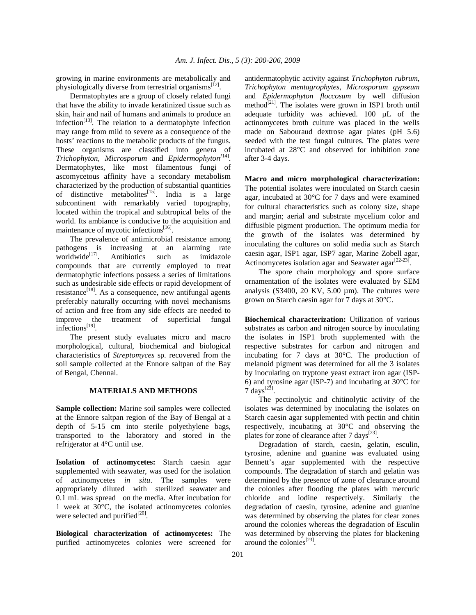growing in marine environments are metabolically and physiologically diverse from terrestrial organisms<sup>[12]</sup>.

 Dermatophytes are a group of closely related fungi that have the ability to invade keratinized tissue such as skin, hair and nail of humans and animals to produce an infection $^{[13]}$ . The relation to a dermatophyte infection may range from mild to severe as a consequence of the hosts' reactions to the metabolic products of the fungus. These organisms are classified into genera of *Trichophyton*, *Microsporum* and *Epidermophyton[*14] . Dermatophytes, like most filamentous fungi of ascomycetous affinity have a secondary metabolism characterized by the production of substantial quantities of distinctive metabolites<sup>[15]</sup>. India is a large subcontinent with remarkably varied topography, located within the tropical and subtropical belts of the world. Its ambiance is conducive to the acquisition and maintenance of mycotic infections<sup>[16]</sup>.

 The prevalence of antimicrobial resistance among pathogens is increasing at an alarming rate worldwide<sup>[17]</sup>. Antibiotics such as imidazole compounds that are currently employed to treat dermatophytic infections possess a series of limitations such as undesirable side effects or rapid development of resistance<sup>[18]</sup>. As a consequence, new antifungal agents preferably naturally occurring with novel mechanisms of action and free from any side effects are needed to improve the treatment of superficial fungal infections<sup>[19]</sup>.

 The present study evaluates micro and macro morphological, cultural, biochemical and biological characteristics of *Streptomyces* sp. recovered from the soil sample collected at the Ennore saltpan of the Bay of Bengal, Chennai.

#### **MATERIALS AND METHODS**

**Sample collection:** Marine soil samples were collected at the Ennore saltpan region of the Bay of Bengal at a depth of 5-15 cm into sterile polyethylene bags, transported to the laboratory and stored in the refrigerator at 4°C until use.

**Isolation of actinomycetes:** Starch caesin agar supplemented with seawater, was used for the isolation of actinomycetes *in situ*. The samples were appropriately diluted with sterilized seawater and 0.1 mL was spread on the media. After incubation for 1 week at 30°C, the isolated actinomycetes colonies were selected and purified $^{[20]}$ .

**Biological characterization of actinomycetes:** The purified actinomycetes colonies were screened for antidermatophytic activity against *Trichophyton rubrum*, *Trichophyton mentagrophytes*, *Microsporum gypseum* and *Epidermophyton floccosum* by well diffusion method<sup>[21]</sup>. The isolates were grown in ISP1 broth until adequate turbidity was achieved. 100 µL of the actinomycetes broth culture was placed in the wells made on Sabouraud dextrose agar plates (pH 5.6) seeded with the test fungal cultures. The plates were incubated at 28°C and observed for inhibition zone after 3-4 days.

**Macro and micro morphological characterization:**  The potential isolates were inoculated on Starch caesin agar, incubated at 30°C for 7 days and were examined for cultural characteristics such as colony size, shape and margin; aerial and substrate mycelium color and diffusible pigment production. The optimum media for the growth of the isolates was determined by inoculating the cultures on solid media such as Starch caesin agar, ISP1 agar, ISP7 agar, Marine Zobell agar, Actinomycetes isolation agar and Seawater agar $^{[22-23]}$ .

 The spore chain morphology and spore surface ornamentation of the isolates were evaluated by SEM analysis (S3400, 20 KV, 5.00  $\mu$ m). The cultures were grown on Starch caesin agar for 7 days at 30°C.

**Biochemical characterization:** Utilization of various substrates as carbon and nitrogen source by inoculating the isolates in ISP1 broth supplemented with the respective substrates for carbon and nitrogen and incubating for 7 days at 30°C. The production of melanoid pigment was determined for all the 3 isolates by inoculating on tryptone yeast extract iron agar (ISP-6) and tyrosine agar (ISP-7) and incubating at 30°C for  $7 \text{ days}^{[23]}$ .

 The pectinolytic and chitinolytic activity of the isolates was determined by inoculating the isolates on Starch caesin agar supplemented with pectin and chitin respectively, incubating at 30°C and observing the plates for zone of clearance after  $7 \text{ days}^{[23]}$ .

 Degradation of starch, caesin, gelatin, esculin, tyrosine, adenine and guanine was evaluated using Bennett's agar supplemented with the respective compounds. The degradation of starch and gelatin was determined by the presence of zone of clearance around the colonies after flooding the plates with mercuric chloride and iodine respectively. Similarly the degradation of caesin, tyrosine, adenine and guanine was determined by observing the plates for clear zones around the colonies whereas the degradation of Esculin was determined by observing the plates for blackening around the colonies $^{[23]}$ .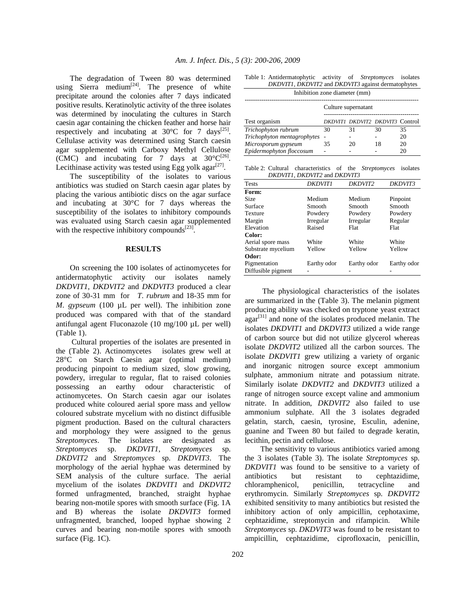The degradation of Tween 80 was determined using Sierra medium<sup>[24]</sup>. The presence of white precipitate around the colonies after 7 days indicated positive results. Keratinolytic activity of the three isolates was determined by inoculating the cultures in Starch caesin agar containing the chicken feather and horse hair respectively and incubating at  $30^{\circ}$ C for 7 days<sup>[25]</sup>. Cellulase activity was determined using Starch caesin agar supplemented with Carboxy Methyl Cellulose (CMC) and incubating for 7 days at  $30^{\circ}C^{[26]}$ . Lecithinase activity was tested using Egg yolk agar<sup>[27]</sup>.

 The susceptibility of the isolates to various antibiotics was studied on Starch caesin agar plates by placing the various antibiotic discs on the agar surface and incubating at 30°C for 7 days whereas the susceptibility of the isolates to inhibitory compounds was evaluated using Starch caesin agar supplemented with the respective inhibitory compounds $^{[23]}$ .

### **RESULTS**

 On screening the 100 isolates of actinomycetes for antidermatophytic activity our isolates namely *DKDVIT1*, *DKDVIT2* and *DKDVIT3* produced a clear zone of 30-31 mm for *T*. *rubrum* and 18-35 mm for *M. gypseum* (100 µL per well). The inhibition zone produced was compared with that of the standard antifungal agent Fluconazole (10 mg/100 µL per well) (Table 1).

 Cultural properties of the isolates are presented in the (Table 2). Actinomycetes isolates grew well at 28°C on Starch Caesin agar (optimal medium) producing pinpoint to medium sized, slow growing, powdery, irregular to regular, flat to raised colonies possessing an earthy odour characteristic of actinomycetes. On Starch caesin agar our isolates produced white coloured aerial spore mass and yellow coloured substrate mycelium with no distinct diffusible pigment production. Based on the cultural characters and morphology they were assigned to the genus *Streptomyces*. The isolates are designated as *Streptomyces* sp. *DKDVIT1*, *Streptomyces* sp. *DKDVIT2* and *Streptomyces* sp. *DKDVIT3*. The morphology of the aerial hyphae was determined by SEM analysis of the culture surface. The aerial mycelium of the isolates *DKDVIT1* and *DKDVIT2* formed unfragmented, branched, straight hyphae bearing non-motile spores with smooth surface (Fig. 1A and B) whereas the isolate *DKDVIT3* formed unfragmented, branched, looped hyphae showing 2 curves and bearing non-motile spores with smooth surface (Fig. 1C).

Table 1: Antidermatophytic activity of *Streptomyces* isolates *DKDVIT1*, *DKDVIT2* and *DKDVIT3* against dermatophytes

| Inhibition zone diameter (mm) |                     |                                 |    |    |  |
|-------------------------------|---------------------|---------------------------------|----|----|--|
|                               | Culture supernatant |                                 |    |    |  |
| Test organism                 |                     | DKDVIT1 DKDVIT2 DKDVIT3 Control |    |    |  |
| Trichophyton rubrum           | 30                  | 31                              | 30 | 35 |  |
| Trichophyton mentagrophytes   |                     |                                 |    | 20 |  |
| Microsporum gypseum           | 35                  | 20                              | 18 | 20 |  |
| Epidermophyton floccosum      |                     |                                 |    | 20 |  |

|                              |  | Table 2: Cultural characteristics of the <i>Streptomyces</i> isolates |  |  |  |  |
|------------------------------|--|-----------------------------------------------------------------------|--|--|--|--|
| DKDVIT1, DKDVIT2 and DKDVIT3 |  |                                                                       |  |  |  |  |

| <b>Tests</b>       | <b>DKDVIT1</b> | DKDVIT <sub>2</sub> | DKDVIT3     |
|--------------------|----------------|---------------------|-------------|
| Form:              |                |                     |             |
| Size               | Medium         | Medium              | Pinpoint    |
| Surface            | Smooth         | Smooth              | Smooth      |
| Texture            | Powdery        | Powdery             | Powdery     |
| Margin             | Irregular      | Irregular           | Regular     |
| Elevation          | Raised         | Flat                | Flat        |
| Color:             |                |                     |             |
| Aerial spore mass  | White          | White               | White       |
| Substrate mycelium | Yellow         | Yellow              | Yellow      |
| Odor:              |                |                     |             |
| Pigmentation       | Earthy odor    | Earthy odor         | Earthy odor |
| Diffusible pigment |                |                     |             |

 The physiological characteristics of the isolates are summarized in the (Table 3). The melanin pigment producing ability was checked on tryptone yeast extract  $a$ gar<sup>[31]</sup> and none of the isolates produced melanin. The isolates *DKDVIT1* and *DKDVIT3* utilized a wide range of carbon source but did not utilize glycerol whereas isolate *DKDVIT2* utilized all the carbon sources. The isolate *DKDVIT1* grew utilizing a variety of organic and inorganic nitrogen source except ammonium sulphate, ammonium nitrate and potassium nitrate. Similarly isolate *DKDVIT2* and *DKDVIT3* utilized a range of nitrogen source except valine and ammonium nitrate. In addition, *DKDVIT2* also failed to use ammonium sulphate. All the 3 isolates degraded gelatin, starch, caesin, tyrosine, Esculin, adenine, guanine and Tween 80 but failed to degrade keratin, lecithin, pectin and cellulose.

 The sensitivity to various antibiotics varied among the 3 isolates (Table 3). The isolate *Streptomyces* sp. *DKDVIT1* was found to be sensitive to a variety of antibiotics but resistant to cephtazidime, chloramphenicol, penicillin, tetracycline and erythromycin. Similarly *Streptomyces* sp. *DKDVIT2*  exhibited sensitivity to many antibiotics but resisted the inhibitory action of only ampicillin, cephotaxime, cephtazidime, streptomycin and rifampicin. While *Streptomyces* sp. *DKDVIT3* was found to be resistant to ampicillin, cephtazidime, ciprofloxacin, penicillin,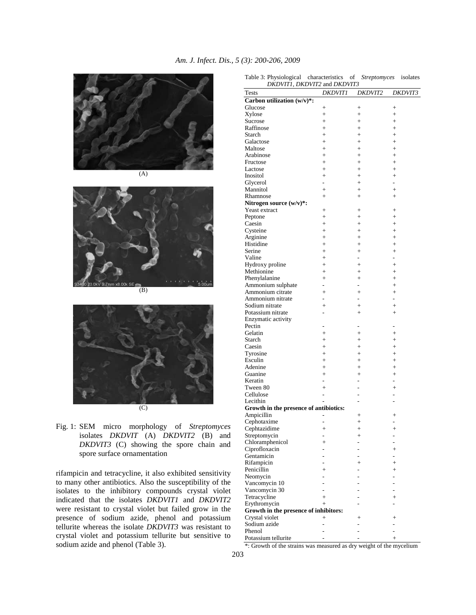



 $(B)$ 





rifampicin and tetracycline, it also exhibited sensitivity to many other antibiotics. Also the susceptibility of the isolates to the inhibitory compounds crystal violet indicated that the isolates *DKDVIT1* and *DKDVIT2* were resistant to crystal violet but failed grow in the presence of sodium azide, phenol and potassium tellurite whereas the isolate *DKDVIT3* was resistant to crystal violet and potassium tellurite but sensitive to sodium azide and phenol (Table 3).

| Tests                                  | <b>DKDVIT1</b>           | <i>DKDVIT2</i>                   | <i>DKDVIT3</i>           |
|----------------------------------------|--------------------------|----------------------------------|--------------------------|
| Carbon utilization $(w/v)^*$ :         |                          |                                  |                          |
| Glucose                                | $^{+}$                   | $^{+}$                           | $^{+}$                   |
| Xylose                                 | $^{+}$                   | $^{+}$                           | $^{+}$                   |
| Sucrose                                | $+$                      | $+$                              | $+$                      |
| Raffinose                              | $+$                      | $+$                              | $+$                      |
| Starch                                 | $+$                      | $+$                              | $+$                      |
| Galactose                              | $+$                      | $+$                              | $+$                      |
| Maltose                                | $+$                      | $+$                              | $+$                      |
| Arabinose                              | $+$                      | $+$                              | $+$                      |
| Fructose                               | $+$                      | $+$                              | $+$                      |
| Lactose                                | $+$                      | $+$                              | $+$                      |
| Inositol                               | $+$                      | $+$                              | $+$                      |
| Glycerol                               | $\overline{a}$           | $+$                              | ÷.                       |
| Mannitol                               | $+$                      | $+$                              | $+$                      |
| Rhamnose                               | $+$                      | $+$                              | $+$                      |
| Nitrogen source (w/v)*:                |                          |                                  |                          |
| Yeast extract                          | $^{+}$                   | $^{+}$                           | $^{+}$                   |
| Peptone                                | $+$                      | $+$                              | $+$                      |
| Caesin                                 | $+$                      | $+$                              | $+$                      |
| Cysteine                               | $+$                      | $+$                              | $+$                      |
| Arginine                               | $+$<br>$+$               | $+$                              | $+$                      |
| Histidine                              |                          | $+$                              | $+$                      |
| Serine<br>Valine                       | $+$<br>$+$               | $+$<br>$\overline{\phantom{0}}$  | $+$<br>÷.                |
|                                        | $+$                      |                                  | $+$                      |
| Hydroxy proline<br>Methionine          | $+$                      | $+$                              | $+$                      |
| Phenylalanine                          | $+$                      | $+$<br>$+$                       | $+$                      |
| Ammonium sulphate                      | $\overline{a}$           | $\overline{\phantom{a}}$         | $+$                      |
| Ammonium citrate                       | $+$                      | $+$                              | $+$                      |
| Ammonium nitrate                       | $\overline{a}$           | $\overline{a}$                   |                          |
| Sodium nitrate                         | $+$                      | $+$                              | $+$                      |
| Potassium nitrate                      | $\overline{a}$           | $+$                              | $+$                      |
| Enzymatic activity                     |                          |                                  |                          |
| Pectin                                 |                          |                                  |                          |
| Gelatin                                | $+$                      | $+$                              | $+$                      |
| Starch                                 | $+$                      | $+$                              | $+$                      |
| Caesin                                 | $+$                      | $+$                              | $+$                      |
| Tyrosine                               | $+$                      | $+$                              | $+$                      |
| Esculin                                | $+$                      | $+$                              | $+$                      |
| Adenine                                | $+$                      | $+$                              | $+$                      |
| Guanine                                | $+$                      | $+$                              | $+$                      |
| Keratin                                | -                        | $\overline{\phantom{0}}$         | $\overline{\phantom{0}}$ |
| Tween 80                               | $+$                      | ÷.                               | $+$                      |
| Cellulose                              | $\overline{\phantom{a}}$ |                                  | ÷.                       |
| Lecithin                               |                          |                                  | ۰                        |
| Growth in the presence of antibiotics: |                          |                                  |                          |
| Ampicillin                             |                          | $^{+}$                           | $^{+}$                   |
| Cephotaxime                            |                          | $^{+}$                           |                          |
| Cephtazidime                           | $\ddot{}$                | $+$                              | $+$                      |
| Streptomycin                           | -                        | $^{+}$                           | -                        |
| Chloramphenicol                        | $\hspace{0.1mm} +$       |                                  |                          |
| Ciprofloxacin                          |                          |                                  | $\ddot{}$                |
| Gentamicin                             |                          |                                  |                          |
| Rifampicin                             |                          | $\overline{+}$                   | $^{+}$                   |
| Penicillin                             | $^{+}$                   |                                  | $^{+}$                   |
| Neomycin<br>Vancomycin 10              |                          |                                  |                          |
| Vancomycin 30                          | L.                       |                                  | ä,                       |
| Tetracycline                           | $\,+\,$                  |                                  | $^{+}$                   |
| Erythromycin                           | $+$                      |                                  |                          |
| Growth in the presence of inhibitors:  |                          |                                  |                          |
| Crystal violet                         | $\hspace{0.1mm} +$       | $\hspace{0.1mm} +\hspace{0.1mm}$ | $^+$                     |
| Sodium azide                           |                          |                                  |                          |
| Phenol                                 |                          |                                  |                          |
| Potassium tellurite                    |                          |                                  | $\overline{+}$           |

Table 3: Physiological characteristics of *Streptomyces* isolates *DKDVIT1*, *DKDVIT2* and *DKDVIT3*

\*: Growth of the strains was measured as dry weight of the mycelium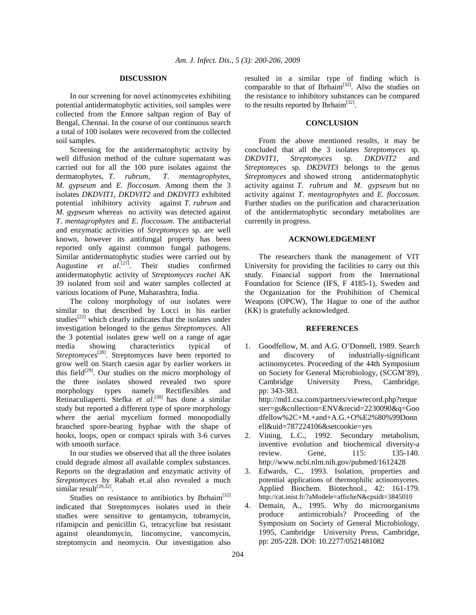#### **DISCUSSION**

 In our screening for novel actinomycetes exhibiting potential antidermatophytic activities, soil samples were collected from the Ennore saltpan region of Bay of Bengal, Chennai. In the course of our continuous search a total of 100 isolates were recovered from the collected soil samples.

 Screening for the antidermatophytic activity by well diffusion method of the culture supernatant was carried out for all the 100 pure isolates against the dermatophytes. T. rubrum, T. mentagrophytes. dermatophytes, *T. rubrum*, *M*. *gypseum* and *E*. *floccosum*. Among them the 3 isolates *DKDVIT1*, *DKDVIT2* and *DKDVIT3* exhibited potential inhibitory activity against *T*. *rubrum* and *M*. *gypseum* whereas no activity was detected against *T*. *mentagrophytes* and *E*. *floccosum*. The antibacterial and enzymatic activities of *Streptomyces* sp. are well known, however its antifungal property has been reported only against common fungal pathogens. Similar antidermatophytic studies were carried out by Augustine *et al*.<sup>[21]</sup>. Their studies confirmed antidermatophytic activity of *Streptomyces rochei* AK 39 isolated from soil and water samples collected at various locations of Pune, Maharashtra, India.

 The colony morphology of our isolates were similar to that described by Locci in his earlier studies<sup>[22]</sup> which clearly indicates that the isolates under investigation belonged to the genus *Streptomyces*. All the 3 potential isolates grew well on a range of agar media showing characteristics typical of *Streptomyces*<sup>[28]</sup>. Streptomyces have been reported to grow well on Starch caesin agar by earlier workers in this field $[29]$ . Our studies on the micro morphology of the three isolates showed revealed two spore morphology types namely Rectiflexibles and Retinaculiaperti. Stefka *et al*. [30] has done a similar study but reported a different type of spore morphology where the aerial mycelium formed monopodially branched spore-bearing hyphae with the shape of hooks, loops, open or compact spirals with 3-6 curves with smooth surface.

 In our studies we observed that all the three isolates could degrade almost all available complex substances. Reports on the degradation and enzymatic activity of *Streptomyces* by Rabah et.al also revealed a much similar result $^{[29,32]}$ .

Studies on resistance to antibiotics by Ibrhaim<sup>[32]</sup> indicated that Streptomyces isolates used in their studies were sensitive to gentamycin, tobramycin, rifamipcin and penicillin G, tetracycline but resistant against oleandomycin, lincomycine, vancomycin, streptomycin and neomycin. Our investigation also

resulted in a similar type of finding which is comparable to that of Ibrhaim<sup>[32]</sup>. Also the studies on the resistance to inhibitory substances can be compared to the results reported by Ibrhaim<sup>[32]</sup>.

## **CONCLUSION**

 From the above mentioned results, it may be concluded that all the 3 isolates *Streptomyces* sp. *DKDVIT1*, *Streptomyces* sp. *DKDVIT2* and *Streptomyces* sp. *DKDVIT3* belongs to the genus *Streptomyces* and showed strong antidermatophytic activity against *T*. *rubrum* and *M*. *gypseum* but no activity against *T*. *mentagrophytes* and *E*. *floccosum*. Further studies on the purification and characterization of the antidermatophytic secondary metabolites are currently in progress.

#### **ACKNOWLEDGEMENT**

 The researchers thank the management of VIT University for providing the facilities to carry out this study. Financial support from the International Foundation for Science (IFS, F 4185-1), Sweden and the Organization for the Prohibition of Chemical Weapons (OPCW), The Hague to one of the author (KK) is gratefully acknowledged.

#### **REFERENCES**

- 1. Goodfellow, M. and A.G. O'Donnell, 1989. Search and discovery of industrially-significant actinomycetes. Proceeding of the 44th Symposium on Society for General Microbiology, (SCGM'89), Cambridge University Press, Cambridge, pp: 343-383. http://md1.csa.com/partners/viewrecord.php?reque ster=gs&collection=ENV&recid=2230090&q=Goo dfellow%2C+M.+and+A.G.+O%E2%80%99Donn ell&uid=787224106&setcookie=yes
- 2. Vining, L.C., 1992. Secondary metabolism, inventive evolution and biochemical diversity-a review. Gene, 115: 135-140. http://www.ncbi.nlm.nih.gov/pubmed/1612428
- 3. Edwards, C., 1993. Isolation, properties and potential applications of thermophilic actinomycetes. Applied Biochem. Biotechnol., 42: 161-179. http://cat.inist.fr/?aModele=afficheN&cpsidt=3845010
- 4. Demain, A., 1995. Why do microorganisms produce antimicrobials? Proceeding of the Symposium on Society of General Microbiology, 1995, Cambridge University Press, Cambridge, pp: 205-228. DOI: 10.2277/0521481082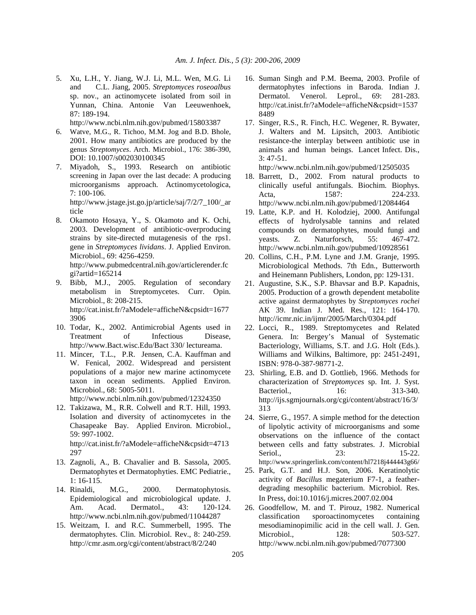- 5. Xu, L.H., Y. Jiang, W.J. Li, M.L. Wen, M.G. Li and C.L. Jiang, 2005. *Streptomyces roseoalbus* sp. nov., an actinomycete isolated from soil in Yunnan, China. Antonie Van Leeuwenhoek, 87: 189-194. http://www.ncbi.nlm.nih.gov/pubmed/15803387
- 6. Watve, M.G., R. Tichoo, M.M. Jog and B.D. Bhole, 2001. How many antibiotics are produced by the genus *Streptomyces*. Arch. Microbiol., 176: 386-390, DOI: 10.1007/s002030100345
- 7. Miyadoh, S., 1993. Research on antibiotic screening in Japan over the last decade: A producing microorganisms approach. Actinomycetologica, 7: 100-106.

 http://www.jstage.jst.go.jp/article/saj/7/2/7\_100/\_ar ticle

- 8. Okamoto Hosaya, Y., S. Okamoto and K. Ochi, 2003. Development of antibiotic-overproducing strains by site-directed mutagenesis of the rps1. gene in *Streptomyces lividans*. J. Applied Environ. Microbiol., 69: 4256-4259. http://www.pubmedcentral.nih.gov/articlerender.fc gi?artid=165214
- 9. Bibb, M.J., 2005. Regulation of secondary metabolism in Streptomycetes. Curr. Opin. Microbiol., 8: 208-215. http://cat.inist.fr/?aModele=afficheN&cpsidt=1677 3906
- 10. Todar, K., 2002. Antimicrobial Agents used in Treatment of Infectious Disease, http://www.Bact.wisc.Edu/Bact 330/ lectureama.
- 11. Mincer, T.L., P.R. Jensen, C.A. Kauffman and W. Fenical, 2002. Widespread and persistent populations of a major new marine actinomycete taxon in ocean sediments. Applied Environ. Microbiol., 68: 5005-5011. http://www.ncbi.nlm.nih.gov/pubmed/12324350
- 12. Takizawa, M., R.R. Colwell and R.T. Hill, 1993. Isolation and diversity of actinomycetes in the Chasapeake Bay. Applied Environ. Microbiol., 59: 997-1002. http://cat.inist.fr/?aModele=afficheN&cpsidt=4713 297
- 13. Zagnoli, A., B. Chavalier and B. Sassola, 2005. Dermatophytes et Dermatophyties. EMC Pediatrie., 1: 16-115.
- 14. Rinaldi, M.G., 2000. Dermatophytosis. Epidemiological and microbiological update. J. Am. Acad. Dermatol., 43: 120-124. http://www.ncbi.nlm.nih.gov/pubmed/11044287
- 15. Weitzam, I. and R.C. Summerbell, 1995. The dermatophytes. Clin. Microbiol. Rev., 8: 240-259. http://cmr.asm.org/cgi/content/abstract/8/2/240
- 16. Suman Singh and P.M. Beema, 2003. Profile of dermatophytes infections in Baroda. Indian J. Dermatol. Venerol. Leprol., 69: 281-283. http://cat.inist.fr/?aModele=afficheN&cpsidt=1537 8489
- 17. Singer, R.S., R. Finch, H.C. Wegener, R. Bywater, J. Walters and M. Lipsitch, 2003. Antibiotic resistance-the interplay between antibiotic use in animals and human beings. Lancet Infect. Dis., 3: 47-51.

http://www.ncbi.nlm.nih.gov/pubmed/12505035

- 18. Barrett, D., 2002. From natural products to clinically useful antifungals. Biochim. Biophys. Acta, 1587: 224-233. http://www.ncbi.nlm.nih.gov/pubmed/12084464
- 19. Latte, K.P. and H. Kolodziej, 2000. Antifungal effects of hydrolysable tannins and related compounds on dermatophytes, mould fungi and yeasts. Z. Naturforsch, 55: 467-472. http://www.ncbi.nlm.nih.gov/pubmed/10928561
- 20. Collins, C.H., P.M. Lyne and J.M. Granje, 1995. Microbiological Methods. 7th Edn., Butterworth and Heinemann Publishers, London, pp: 129-131.
- 21. Augustine, S.K., S.P. Bhavsar and B.P. Kapadnis, 2005. Production of a growth dependent metabolite active against dermatophytes by *Streptomyces rochei*  AK 39. Indian J. Med. Res., 121: 164-170. http://icmr.nic.in/ijmr/2005/March/0304.pdf
- 22. Locci, R., 1989. Streptomycetes and Related Genera. In: Bergey's Manual of Systematic Bacteriology, Williams, S.T. and J.G. Holt (Eds.). Williams and Wilkins, Baltimore, pp: 2451-2491, ISBN: 978-0-387-98771-2.
- 23. Shirling, E.B. and D. Gottlieb, 1966. Methods for characterization of *Streptomyces* sp. Int. J. Syst. Bacteriol., 16: 313-340. http://ijs.sgmjournals.org/cgi/content/abstract/16/3/ 313
- 24. Sierre, G., 1957. A simple method for the detection of lipolytic activity of microorganisms and some observations on the influence of the contact between cells and fatty substrates. J. Microbial Seriol., 23: 15-22. http://www.springerlink.com/content/hl7218j444443g66/
- 25. Park, G.T. and H.J. Son, 2006. Keratinolytic activity of *Bacillus* megaterium F7-1, a featherdegrading mesophilic bacterium. Microbiol. Res. In Press, doi:10.1016/j.micres.2007.02.004
- 26. Goodfellow, M. and T. Pirouz, 1982. Numerical classification sporoactinomycetes containing mesodiaminopimilic acid in the cell wall. J. Gen. Microbiol., 128: 503-527. http://www.ncbi.nlm.nih.gov/pubmed/7077300